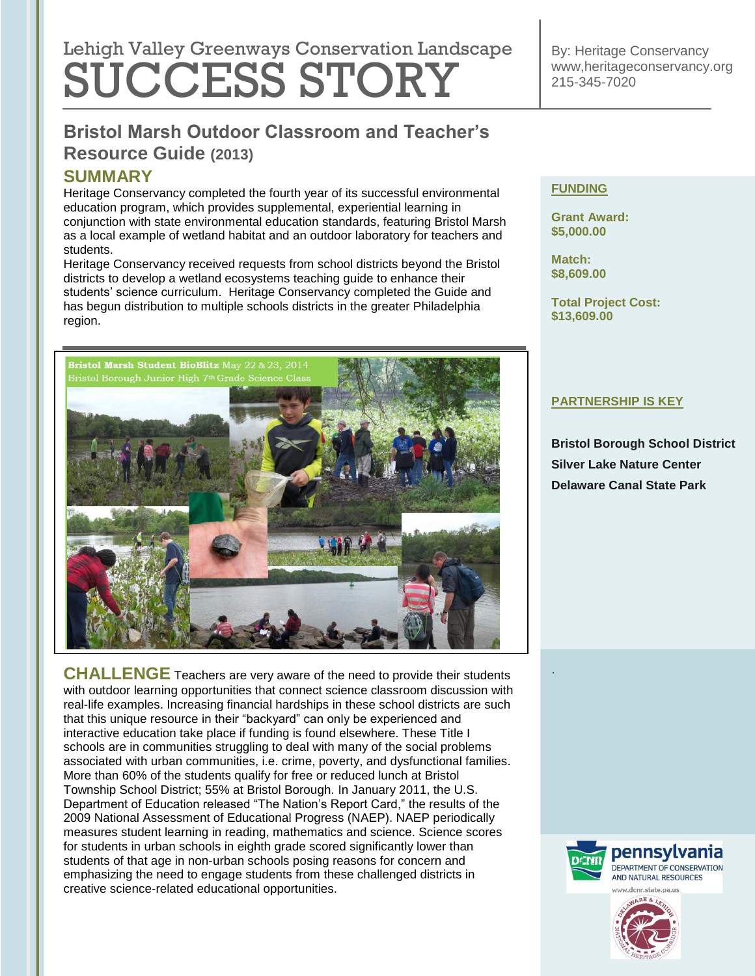# Lehigh Valley Greenways Conservation Landscape SUCCESS STORY

By: Heritage Conservancy www,heritageconservancy.org 215-345-7020

# **Bristol Marsh Outdoor Classroom and Teacher's Resource Guide (2013)**

### **SUMMARY**

Heritage Conservancy completed the fourth year of its successful environmental education program, which provides supplemental, experiential learning in conjunction with state environmental education standards, featuring Bristol Marsh as a local example of wetland habitat and an outdoor laboratory for teachers and students.

Heritage Conservancy received requests from school districts beyond the Bristol districts to develop a wetland ecosystems teaching guide to enhance their students' science curriculum. Heritage Conservancy completed the Guide and has begun distribution to multiple schools districts in the greater Philadelphia region.



**CHALLENGE** Teachers are very aware of the need to provide their students with outdoor learning opportunities that connect science classroom discussion with real-life examples. Increasing financial hardships in these school districts are such that this unique resource in their "backyard" can only be experienced and interactive education take place if funding is found elsewhere. These Title I schools are in communities struggling to deal with many of the social problems associated with urban communities, i.e. crime, poverty, and dysfunctional families. More than 60% of the students qualify for free or reduced lunch at Bristol Township School District; 55% at Bristol Borough. In January 2011, the U.S. Department of Education released ["The Nation's Report Card,](http://nces.ed.gov/nationsreportcard/)" the results of the 2009 National Assessment of Educational Progress (NAEP). NAEP periodically measures student learning in reading, mathematics and science. Science scores for students in urban schools in eighth grade scored significantly lower than students of that age in non-urban schools posing reasons for concern and emphasizing the need to engage students from these challenged districts in creative science-related educational opportunities.

#### **FUNDING**

**Grant Award: \$5,000.00**

**Match: \$8,609.00**

.

**Total Project Cost: \$13,609.00**

#### **PARTNERSHIP IS KEY**

**Bristol Borough School District Silver Lake Nature Center Delaware Canal State Park**